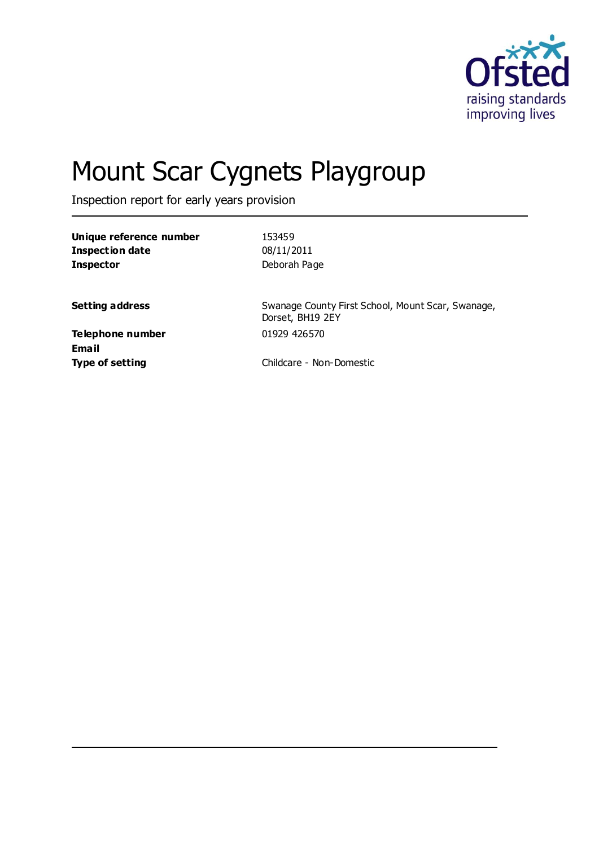

# Mount Scar Cygnets Playgroup

Inspection report for early years provision

| Unique reference number | 153459       |
|-------------------------|--------------|
| Inspection date         | 08/11/2011   |
| <b>Inspector</b>        | Deborah Page |

**Setting address** Swanage County First School, Mount Scar, Swanage, Dorset, BH19 2EY

**Telephone number** 01929 426570 **Email**

**Type of setting** Childcare - Non-Domestic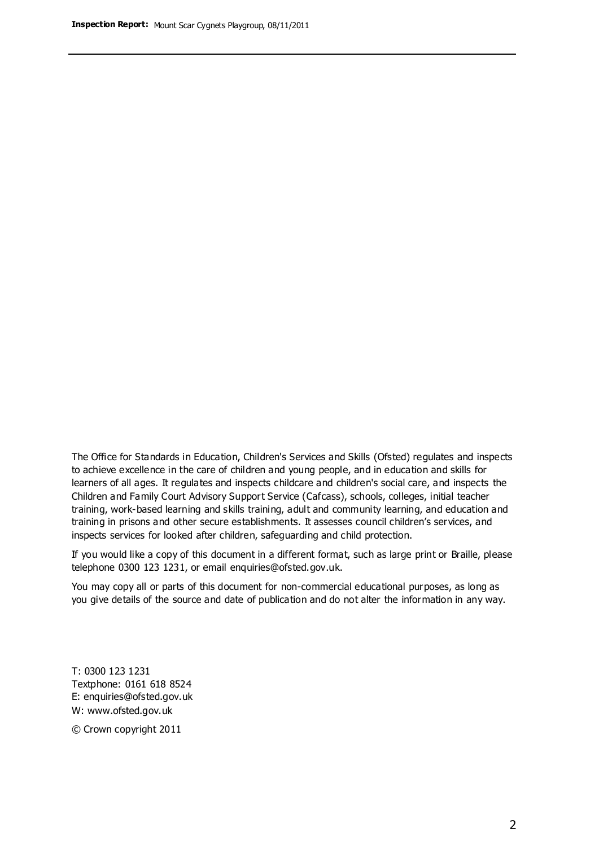The Office for Standards in Education, Children's Services and Skills (Ofsted) regulates and inspects to achieve excellence in the care of children and young people, and in education and skills for learners of all ages. It regulates and inspects childcare and children's social care, and inspects the Children and Family Court Advisory Support Service (Cafcass), schools, colleges, initial teacher training, work-based learning and skills training, adult and community learning, and education and training in prisons and other secure establishments. It assesses council children's services, and inspects services for looked after children, safeguarding and child protection.

If you would like a copy of this document in a different format, such as large print or Braille, please telephone 0300 123 1231, or email enquiries@ofsted.gov.uk.

You may copy all or parts of this document for non-commercial educational purposes, as long as you give details of the source and date of publication and do not alter the information in any way.

T: 0300 123 1231 Textphone: 0161 618 8524 E: enquiries@ofsted.gov.uk W: [www.ofsted.gov.uk](http://www.ofsted.gov.uk/)

© Crown copyright 2011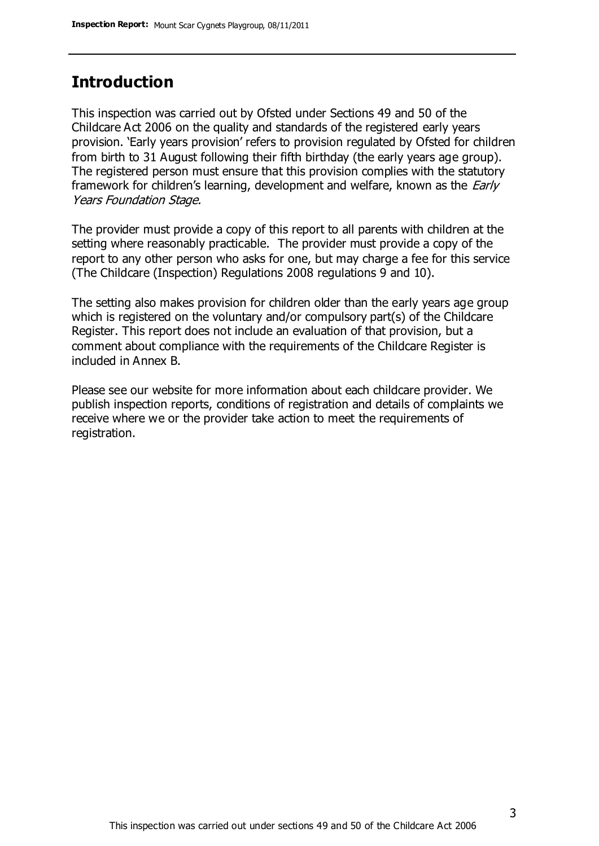### **Introduction**

This inspection was carried out by Ofsted under Sections 49 and 50 of the Childcare Act 2006 on the quality and standards of the registered early years provision. 'Early years provision' refers to provision regulated by Ofsted for children from birth to 31 August following their fifth birthday (the early years age group). The registered person must ensure that this provision complies with the statutory framework for children's learning, development and welfare, known as the *Early* Years Foundation Stage.

The provider must provide a copy of this report to all parents with children at the setting where reasonably practicable. The provider must provide a copy of the report to any other person who asks for one, but may charge a fee for this service (The Childcare (Inspection) Regulations 2008 regulations 9 and 10).

The setting also makes provision for children older than the early years age group which is registered on the voluntary and/or compulsory part(s) of the Childcare Register. This report does not include an evaluation of that provision, but a comment about compliance with the requirements of the Childcare Register is included in Annex B.

Please see our website for more information about each childcare provider. We publish inspection reports, conditions of registration and details of complaints we receive where we or the provider take action to meet the requirements of registration.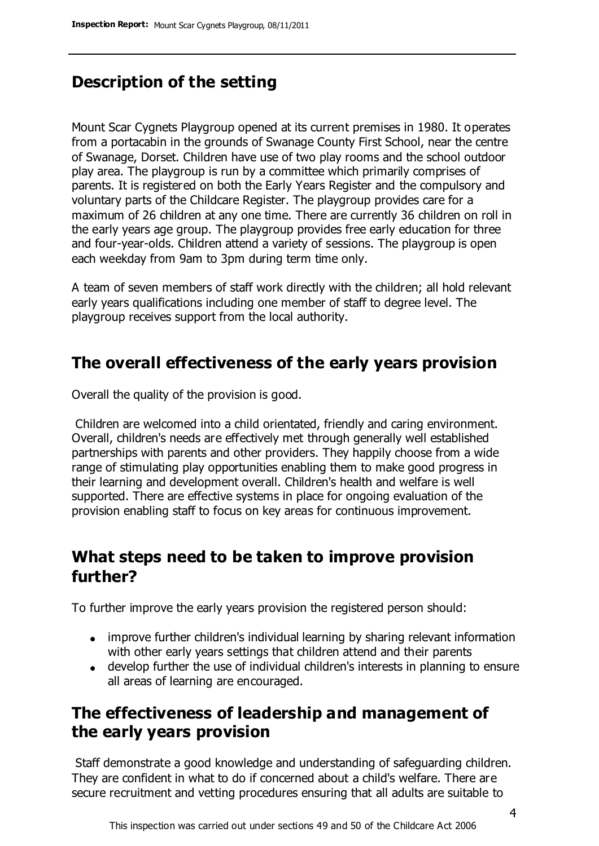### **Description of the setting**

Mount Scar Cygnets Playgroup opened at its current premises in 1980. It operates from a portacabin in the grounds of Swanage County First School, near the centre of Swanage, Dorset. Children have use of two play rooms and the school outdoor play area. The playgroup is run by a committee which primarily comprises of parents. It is registered on both the Early Years Register and the compulsory and voluntary parts of the Childcare Register. The playgroup provides care for a maximum of 26 children at any one time. There are currently 36 children on roll in the early years age group. The playgroup provides free early education for three and four-year-olds. Children attend a variety of sessions. The playgroup is open each weekday from 9am to 3pm during term time only.

A team of seven members of staff work directly with the children; all hold relevant early years qualifications including one member of staff to degree level. The playgroup receives support from the local authority.

### **The overall effectiveness of the early years provision**

Overall the quality of the provision is good.

Children are welcomed into a child orientated, friendly and caring environment. Overall, children's needs are effectively met through generally well established partnerships with parents and other providers. They happily choose from a wide range of stimulating play opportunities enabling them to make good progress in their learning and development overall. Children's health and welfare is well supported. There are effective systems in place for ongoing evaluation of the provision enabling staff to focus on key areas for continuous improvement.

### **What steps need to be taken to improve provision further?**

To further improve the early years provision the registered person should:

- improve further children's individual learning by sharing relevant information with other early years settings that children attend and their parents
- develop further the use of individual children's interests in planning to ensure all areas of learning are encouraged.

### **The effectiveness of leadership and management of the early years provision**

Staff demonstrate a good knowledge and understanding of safeguarding children. They are confident in what to do if concerned about a child's welfare. There are secure recruitment and vetting procedures ensuring that all adults are suitable to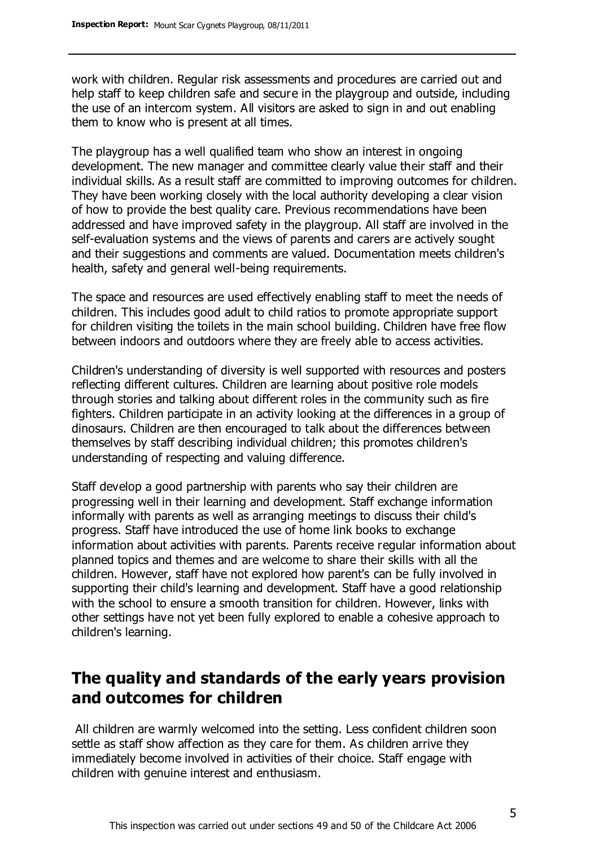work with children. Regular risk assessments and procedures are carried out and help staff to keep children safe and secure in the playgroup and outside, including the use of an intercom system. All visitors are asked to sign in and out enabling them to know who is present at all times.

The playgroup has a well qualified team who show an interest in ongoing development. The new manager and committee clearly value their staff and their individual skills. As a result staff are committed to improving outcomes for children. They have been working closely with the local authority developing a clear vision of how to provide the best quality care. Previous recommendations have been addressed and have improved safety in the playgroup. All staff are involved in the self-evaluation systems and the views of parents and carers are actively sought and their suggestions and comments are valued. Documentation meets children's health, safety and general well-being requirements.

The space and resources are used effectively enabling staff to meet the needs of children. This includes good adult to child ratios to promote appropriate support for children visiting the toilets in the main school building. Children have free flow between indoors and outdoors where they are freely able to access activities.

Children's understanding of diversity is well supported with resources and posters reflecting different cultures. Children are learning about positive role models through stories and talking about different roles in the community such as fire fighters. Children participate in an activity looking at the differences in a group of dinosaurs. Children are then encouraged to talk about the differences between themselves by staff describing individual children; this promotes children's understanding of respecting and valuing difference.

Staff develop a good partnership with parents who say their children are progressing well in their learning and development. Staff exchange information informally with parents as well as arranging meetings to discuss their child's progress. Staff have introduced the use of home link books to exchange information about activities with parents. Parents receive regular information about planned topics and themes and are welcome to share their skills with all the children. However, staff have not explored how parent's can be fully involved in supporting their child's learning and development. Staff have a good relationship with the school to ensure a smooth transition for children. However, links with other settings have not yet been fully explored to enable a cohesive approach to children's learning.

### **The quality and standards of the early years provision and outcomes for children**

All children are warmly welcomed into the setting. Less confident children soon settle as staff show affection as they care for them. As children arrive they immediately become involved in activities of their choice. Staff engage with children with genuine interest and enthusiasm.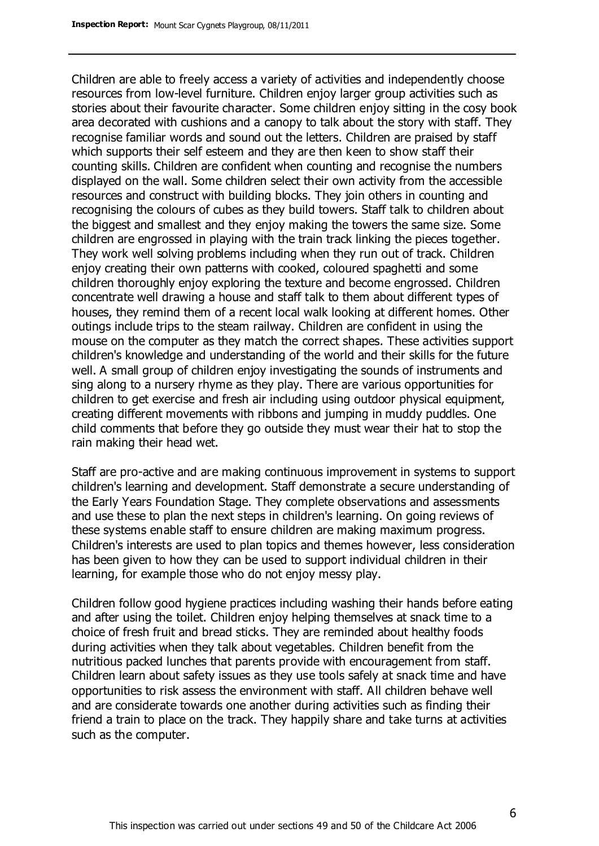Children are able to freely access a variety of activities and independently choose resources from low-level furniture. Children enjoy larger group activities such as stories about their favourite character. Some children enjoy sitting in the cosy book area decorated with cushions and a canopy to talk about the story with staff. They recognise familiar words and sound out the letters. Children are praised by staff which supports their self esteem and they are then keen to show staff their counting skills. Children are confident when counting and recognise the numbers displayed on the wall. Some children select their own activity from the accessible resources and construct with building blocks. They join others in counting and recognising the colours of cubes as they build towers. Staff talk to children about the biggest and smallest and they enjoy making the towers the same size. Some children are engrossed in playing with the train track linking the pieces together. They work well solving problems including when they run out of track. Children enjoy creating their own patterns with cooked, coloured spaghetti and some children thoroughly enjoy exploring the texture and become engrossed. Children concentrate well drawing a house and staff talk to them about different types of houses, they remind them of a recent local walk looking at different homes. Other outings include trips to the steam railway. Children are confident in using the mouse on the computer as they match the correct shapes. These activities support children's knowledge and understanding of the world and their skills for the future well. A small group of children enjoy investigating the sounds of instruments and sing along to a nursery rhyme as they play. There are various opportunities for children to get exercise and fresh air including using outdoor physical equipment, creating different movements with ribbons and jumping in muddy puddles. One child comments that before they go outside they must wear their hat to stop the rain making their head wet.

Staff are pro-active and are making continuous improvement in systems to support children's learning and development. Staff demonstrate a secure understanding of the Early Years Foundation Stage. They complete observations and assessments and use these to plan the next steps in children's learning. On going reviews of these systems enable staff to ensure children are making maximum progress. Children's interests are used to plan topics and themes however, less consideration has been given to how they can be used to support individual children in their learning, for example those who do not enjoy messy play.

Children follow good hygiene practices including washing their hands before eating and after using the toilet. Children enjoy helping themselves at snack time to a choice of fresh fruit and bread sticks. They are reminded about healthy foods during activities when they talk about vegetables. Children benefit from the nutritious packed lunches that parents provide with encouragement from staff. Children learn about safety issues as they use tools safely at snack time and have opportunities to risk assess the environment with staff. All children behave well and are considerate towards one another during activities such as finding their friend a train to place on the track. They happily share and take turns at activities such as the computer.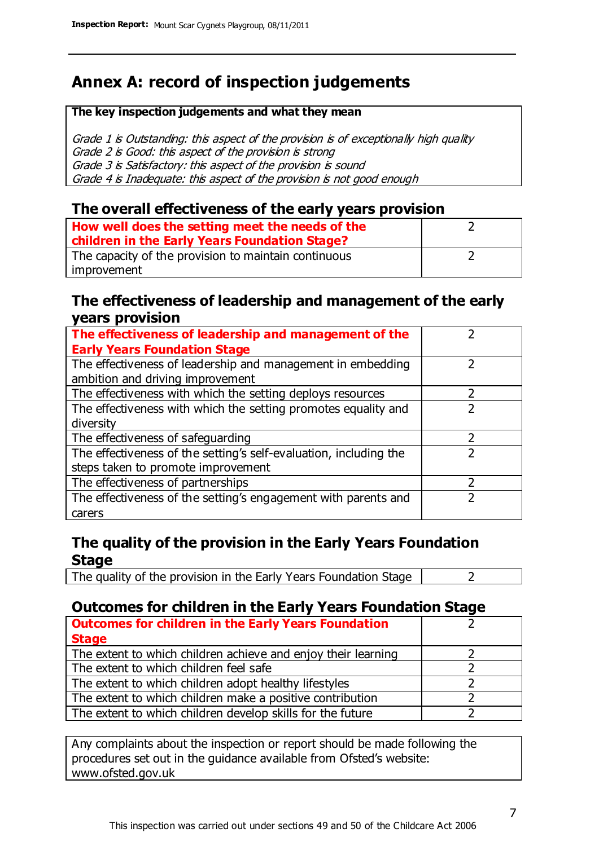### **Annex A: record of inspection judgements**

#### **The key inspection judgements and what they mean**

Grade 1 is Outstanding: this aspect of the provision is of exceptionally high quality Grade 2 is Good: this aspect of the provision is strong Grade 3 is Satisfactory: this aspect of the provision is sound Grade 4 is Inadequate: this aspect of the provision is not good enough

### **The overall effectiveness of the early years provision**

| How well does the setting meet the needs of the<br>children in the Early Years Foundation Stage? |  |
|--------------------------------------------------------------------------------------------------|--|
| The capacity of the provision to maintain continuous                                             |  |
| improvement                                                                                      |  |

### **The effectiveness of leadership and management of the early years provision**

| The effectiveness of leadership and management of the             |  |
|-------------------------------------------------------------------|--|
| <b>Early Years Foundation Stage</b>                               |  |
| The effectiveness of leadership and management in embedding       |  |
| ambition and driving improvement                                  |  |
| The effectiveness with which the setting deploys resources        |  |
| The effectiveness with which the setting promotes equality and    |  |
| diversity                                                         |  |
| The effectiveness of safeguarding                                 |  |
| The effectiveness of the setting's self-evaluation, including the |  |
| steps taken to promote improvement                                |  |
| The effectiveness of partnerships                                 |  |
| The effectiveness of the setting's engagement with parents and    |  |
| carers                                                            |  |

### **The quality of the provision in the Early Years Foundation Stage**

The quality of the provision in the Early Years Foundation Stage  $\vert$  2

### **Outcomes for children in the Early Years Foundation Stage**

| <b>Outcomes for children in the Early Years Foundation</b>    |  |
|---------------------------------------------------------------|--|
| <b>Stage</b>                                                  |  |
| The extent to which children achieve and enjoy their learning |  |
| The extent to which children feel safe                        |  |
| The extent to which children adopt healthy lifestyles         |  |
| The extent to which children make a positive contribution     |  |
| The extent to which children develop skills for the future    |  |

Any complaints about the inspection or report should be made following the procedures set out in the guidance available from Ofsted's website: www.ofsted.gov.uk